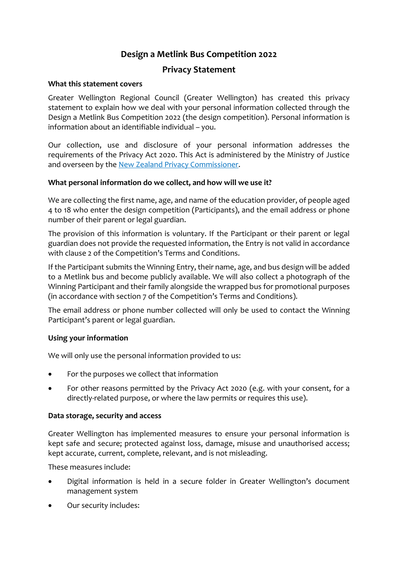# **Design a Metlink Bus Competition 2022**

# **Privacy Statement**

### **What this statement covers**

Greater Wellington Regional Council (Greater Wellington) has created this privacy statement to explain how we deal with your personal information collected through the Design a Metlink Bus Competition 2022 (the design competition). Personal information is information about an identifiable individual – you.

Our collection, use and disclosure of your personal information addresses the requirements of the Privacy Act 2020. This Act is administered by the Ministry of Justice and overseen by the [New Zealand Privacy Commissioner.](https://www.privacy.org.nz/)

### **What personal information do we collect, and how will we use it?**

We are collecting the first name, age, and name of the education provider, of people aged 4 to 18 who enter the design competition (Participants), and the email address or phone number of their parent or legal guardian.

The provision of this information is voluntary. If the Participant or their parent or legal guardian does not provide the requested information, the Entry is not valid in accordance with clause 2 of the Competition's Terms and Conditions.

If the Participant submits the Winning Entry, their name, age, and bus design will be added to a Metlink bus and become publicly available. We will also collect a photograph of the Winning Participant and their family alongside the wrapped bus for promotional purposes (in accordance with section 7 of the Competition's Terms and Conditions).

The email address or phone number collected will only be used to contact the Winning Participant's parent or legal guardian.

# **Using your information**

We will only use the personal information provided to us:

- For the purposes we collect that information
- For other reasons permitted by the Privacy Act 2020 (e.g. with your consent, for a directly-related purpose, or where the law permits or requires this use).

#### **Data storage, security and access**

Greater Wellington has implemented measures to ensure your personal information is kept safe and secure; protected against loss, damage, misuse and unauthorised access; kept accurate, current, complete, relevant, and is not misleading.

These measures include:

- Digital information is held in a secure folder in Greater Wellington's document management system
- Our security includes: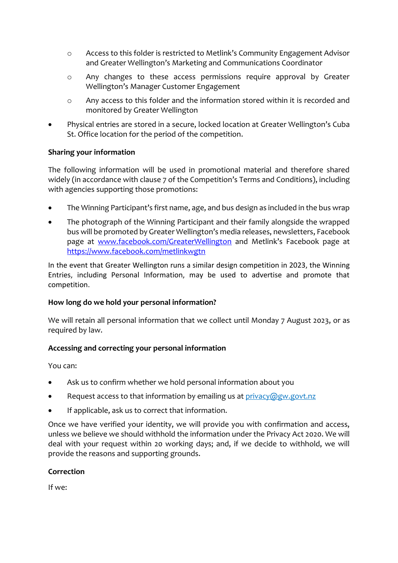- o Access to this folder is restricted to Metlink's Community Engagement Advisor and Greater Wellington's Marketing and Communications Coordinator
- o Any changes to these access permissions require approval by Greater Wellington's Manager Customer Engagement
- o Any access to this folder and the information stored within it is recorded and monitored by Greater Wellington
- Physical entries are stored in a secure, locked location at Greater Wellington's Cuba St. Office location for the period of the competition.

# **Sharing your information**

The following information will be used in promotional material and therefore shared widely (in accordance with clause 7 of the Competition's Terms and Conditions), including with agencies supporting those promotions:

- The Winning Participant's first name, age, and bus design as included in the bus wrap
- The photograph of the Winning Participant and their family alongside the wrapped bus will be promoted by Greater Wellington's media releases, newsletters, Facebook page at [www.facebook.com/GreaterWellington](http://www.facebook.com/GreaterWellington) and Metlink's Facebook page at <https://www.facebook.com/metlinkwgtn>

In the event that Greater Wellington runs a similar design competition in 2023, the Winning Entries, including Personal Information, may be used to advertise and promote that competition.

# **How long do we hold your personal information?**

We will retain all personal information that we collect until Monday 7 August 2023, or as required by law.

# **Accessing and correcting your personal information**

You can:

- Ask us to confirm whether we hold personal information about you
- Request access to that information by emailing us at [privacy@gw.govt.nz](mailto:privacy@gw.govt.nz)
- If applicable, ask us to correct that information.

Once we have verified your identity, we will provide you with confirmation and access, unless we believe we should withhold the information under the Privacy Act 2020. We will deal with your request within 20 working days; and, if we decide to withhold, we will provide the reasons and supporting grounds.

# **Correction**

If we: